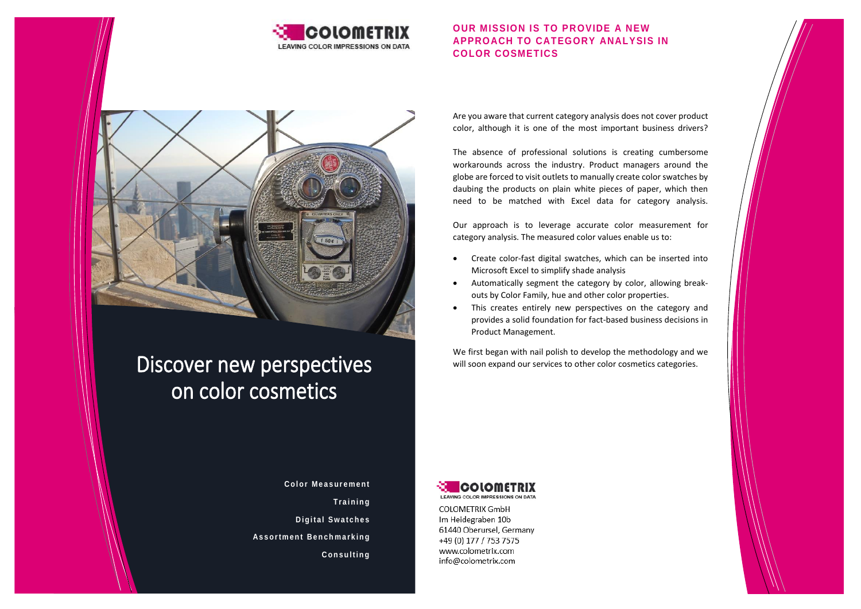

## **OUR MISSION IS TO PROVIDE A NEW APPROACH TO CATEGORY ANALYSIS IN COLOR COSMETICS**



# Discover new perspectives on color cosmetics

Are you aware that current category analysis does not cover product color, although it is one of the most important business drivers?

The absence of professional solutions is creating cumbersome workarounds across the industry. Product managers around the globe are forced to visit outlets to manually create color swatches by daubing the products on plain white pieces of paper, which then need to be matched with Excel data for category analysis.

Our approach is to leverage accurate color measurement for category analysis. The measured color values enable us to:

- Create color-fast digital swatches, which can be inserted into Microsoft Excel to simplify shade analysis
- Automatically segment the category by color, allowing breakouts by Color Family, hue and other color properties.
- This creates entirely new perspectives on the category and provides a solid foundation for fact-based business decisions in Product Management.

We first began with nail polish to develop the methodology and we will soon expand our services to other color cosmetics categories.

**Color Measurement T r a i n i n g Digital Swatches A s s o r t m e n t B e n c h m a r k i n g C o n s u l t i n g**



COLOMETRIX GmbH Im Heidegraben 10b 61440 Oberursel, Germany +49 (0) 177 / 753 7575 www.colometrix.com info@colometrix.com